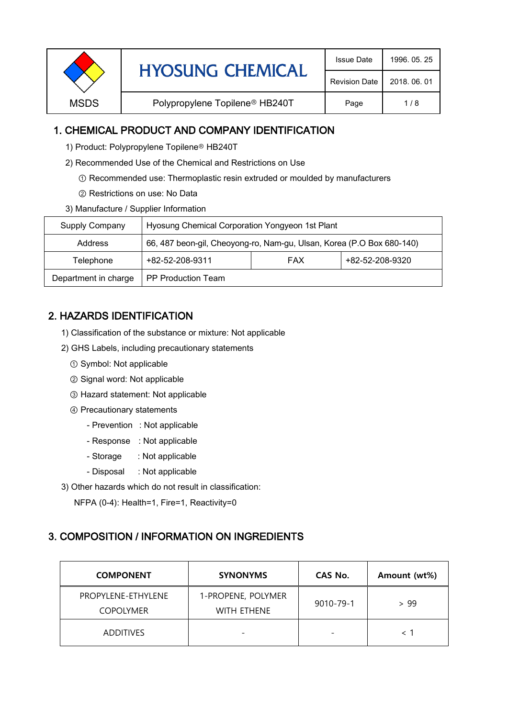|             | <b>HYOSUNG CHEMICAL</b>                    | <b>Issue Date</b>    | 1996, 05, 25 |
|-------------|--------------------------------------------|----------------------|--------------|
|             |                                            | <b>Revision Date</b> | 2018, 06, 01 |
| <b>MSDS</b> | Polypropylene Topilene <sup>®</sup> HB240T | Page                 | 1/8          |

### 1. CHEMICAL PRODUCT AND COMPANY IDENTIFICATION

- 1) Product: Polypropylene Topilene<sup>®</sup> HB240T
- 2) Recommended Use of the Chemical and Restrictions on Use
	- ① Recommended use: Thermoplastic resin extruded or moulded by manufacturers
	- ② Restrictions on use: No Data
- 3) Manufacture / Supplier Information

| Supply Company       | Hyosung Chemical Corporation Yongyeon 1st Plant                       |  |  |  |
|----------------------|-----------------------------------------------------------------------|--|--|--|
| Address              | 66, 487 beon-gil, Cheoyong-ro, Nam-gu, Ulsan, Korea (P.O Box 680-140) |  |  |  |
| Telephone            | +82-52-208-9320<br>+82-52-208-9311<br><b>FAX</b>                      |  |  |  |
| Department in charge | <b>PP Production Team</b>                                             |  |  |  |

## 2. HAZARDS IDENTIFICATION

- 1) Classification of the substance or mixture: Not applicable
- 2) GHS Labels, including precautionary statements
	- ① Symbol: Not applicable
	- ② Signal word: Not applicable
	- ③ Hazard statement: Not applicable
	- ④ Precautionary statements
		- Prevention : Not applicable
		- Response : Not applicable
		- Storage : Not applicable
		- Disposal : Not applicable
- 3) Other hazards which do not result in classification:

NFPA (0-4): Health=1, Fire=1, Reactivity=0

# 3. COMPOSITION / INFORMATION ON INGREDIENTS

| <b>COMPONENT</b>                       | <b>SYNONYMS</b>                   | CAS No.                  | Amount (wt%) |
|----------------------------------------|-----------------------------------|--------------------------|--------------|
| PROPYLENE-ETHYLENE<br><b>COPOLYMER</b> | 1-PROPENE, POLYMER<br>WITH ETHENE | 9010-79-1                | > 99         |
| <b>ADDITIVES</b>                       | $\overline{\phantom{0}}$          | $\overline{\phantom{0}}$ |              |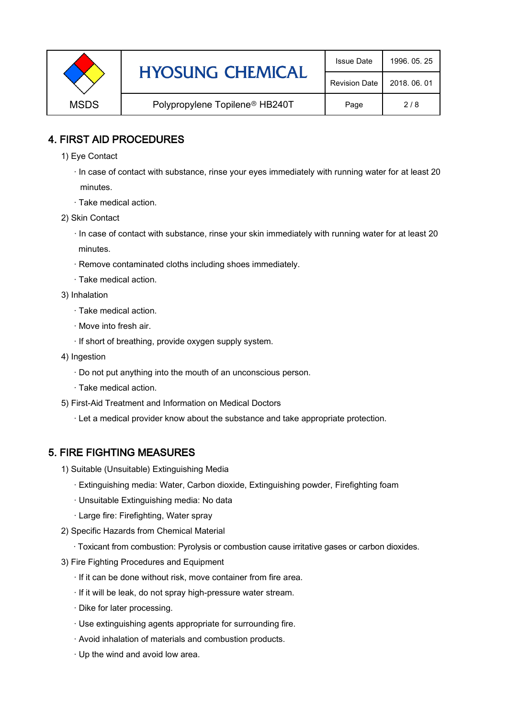|             | <b>HYOSUNG CHEMICAL</b>                    | <b>Issue Date</b>    | 1996, 05, 25 |
|-------------|--------------------------------------------|----------------------|--------------|
|             |                                            | <b>Revision Date</b> | 2018, 06, 01 |
| <b>MSDS</b> | Polypropylene Topilene <sup>®</sup> HB240T | Page                 | 2/8          |

### 4. FIRST AID PROCEDURES

- 1) Eye Contact
	- · In case of contact with substance, rinse your eyes immediately with running water for at least 20 minutes.
	- · Take medical action.
- 2) Skin Contact
	- · In case of contact with substance, rinse your skin immediately with running water for at least 20 minutes.
	- · Remove contaminated cloths including shoes immediately.
	- · Take medical action.
- 3) Inhalation
	- · Take medical action.
	- · Move into fresh air.
	- · If short of breathing, provide oxygen supply system.
- 4) Ingestion
	- · Do not put anything into the mouth of an unconscious person.
	- · Take medical action.
- 5) First-Aid Treatment and Information on Medical Doctors
	- · Let a medical provider know about the substance and take appropriate protection.

## 5. FIRE FIGHTING MEASURES

- 1) Suitable (Unsuitable) Extinguishing Media
	- · Extinguishing media: Water, Carbon dioxide, Extinguishing powder, Firefighting foam
	- · Unsuitable Extinguishing media: No data
	- · Large fire: Firefighting, Water spray
- 2) Specific Hazards from Chemical Material
	- · Toxicant from combustion: Pyrolysis or combustion cause irritative gases or carbon dioxides.
- 3) Fire Fighting Procedures and Equipment
	- · If it can be done without risk, move container from fire area.
	- · If it will be leak, do not spray high-pressure water stream.
	- · Dike for later processing.
	- · Use extinguishing agents appropriate for surrounding fire.
	- · Avoid inhalation of materials and combustion products.
	- · Up the wind and avoid low area.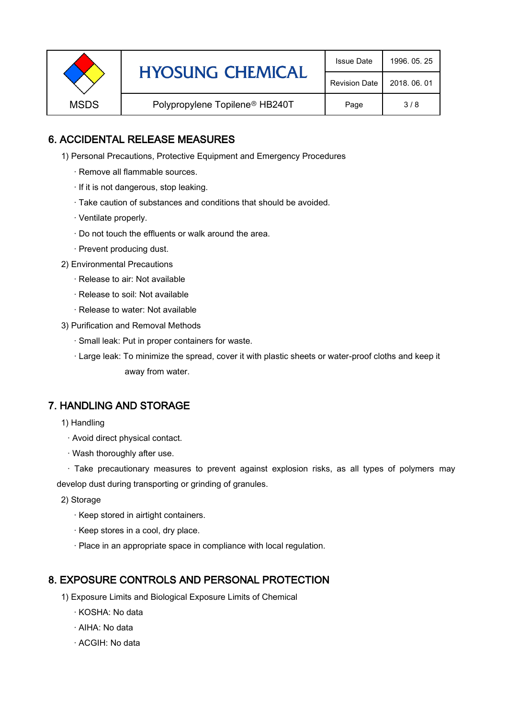|  | <b>HYOSUNG CHEMICAL</b><br><b>MSDS</b><br>Polypropylene Topilene <sup>®</sup> HB240T | <b>Issue Date</b>    | 1996, 05, 25 |
|--|--------------------------------------------------------------------------------------|----------------------|--------------|
|  |                                                                                      | <b>Revision Date</b> | 2018, 06, 01 |
|  |                                                                                      | Page                 | 3/8          |

### 6. ACCIDENTAL RELEASE MEASURES

- 1) Personal Precautions, Protective Equipment and Emergency Procedures
	- · Remove all flammable sources.
	- · If it is not dangerous, stop leaking.
	- · Take caution of substances and conditions that should be avoided.
	- · Ventilate properly.
	- · Do not touch the effluents or walk around the area.
	- · Prevent producing dust.
- 2) Environmental Precautions
	- · Release to air: Not available
	- · Release to soil: Not available
	- · Release to water: Not available
- 3) Purification and Removal Methods
	- · Small leak: Put in proper containers for waste.
	- ,· Large leak: To minimize the spread, cover it with plastic sheets or water-proof cloths and keep it away from water.

### 7. HANDLING AND STORAGE

- 1) Handling
	- · Avoid direct physical contact.
	- · Wash thoroughly after use.

· Take precautionary measures to prevent against explosion risks, as all types of polymers may develop dust during transporting or grinding of granules.

- 2) Storage
	- · Keep stored in airtight containers.
	- · Keep stores in a cool, dry place.
	- · Place in an appropriate space in compliance with local regulation.

### 8. EXPOSURE CONTROLS AND PERSONAL PROTECTION

- 1) Exposure Limits and Biological Exposure Limits of Chemical
	- · KOSHA: No data
	- · AIHA: No data
	- · ACGIH: No data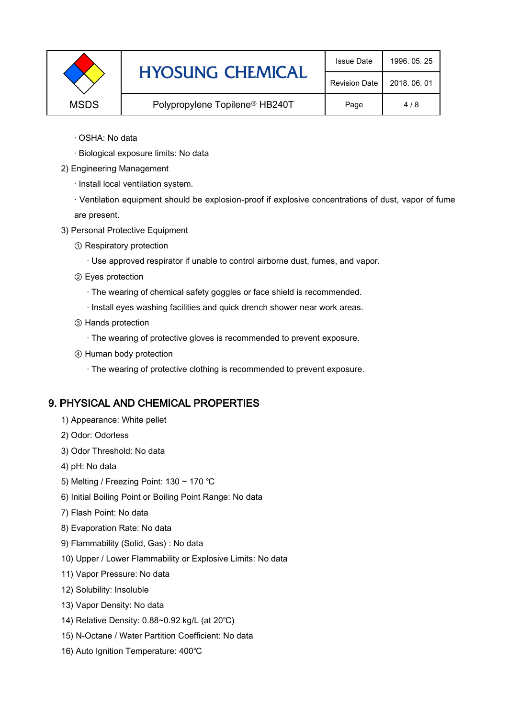|             | <b>HYOSUNG CHEMICAL</b>                    | <b>Issue Date</b>    | 1996, 05, 25 |
|-------------|--------------------------------------------|----------------------|--------------|
|             |                                            | <b>Revision Date</b> | 2018, 06, 01 |
| <b>MSDS</b> | Polypropylene Topilene <sup>®</sup> HB240T |                      | 4/8          |

- · OSHA: No data
- · Biological exposure limits: No data
- 2) Engineering Management
	- · Install local ventilation system.

· Ventilation equipment should be explosion-proof if explosive concentrations of dust, vapor of fume are present.

- 3) Personal Protective Equipment
	- ① Respiratory protection
		- · Use approved respirator if unable to control airborne dust, fumes, and vapor.
	- ② Eyes protection
		- · The wearing of chemical safety goggles or face shield is recommended.
		- · Install eyes washing facilities and quick drench shower near work areas.
	- ③ Hands protection
		- · The wearing of protective gloves is recommended to prevent exposure.
	- ④ Human body protection
		- · The wearing of protective clothing is recommended to prevent exposure.

#### 9. PHYSICAL AND CHEMICAL PROPERTIES

- 1) Appearance: White pellet
- 2) Odor: Odorless
- 3) Odor Threshold: No data
- 4) pH: No data
- 5) Melting / Freezing Point: 130 ~ 170 ℃
- 6) Initial Boiling Point or Boiling Point Range: No data
- 7) Flash Point: No data
- 8) Evaporation Rate: No data
- 9) Flammability (Solid, Gas) : No data
- 10) Upper / Lower Flammability or Explosive Limits: No data
- 11) Vapor Pressure: No data
- 12) Solubility: Insoluble
- 13) Vapor Density: No data
- 14) Relative Density: 0.88~0.92 kg/L (at 20℃)
- 15) N-Octane / Water Partition Coefficient: No data
- 16) Auto Ignition Temperature: 400℃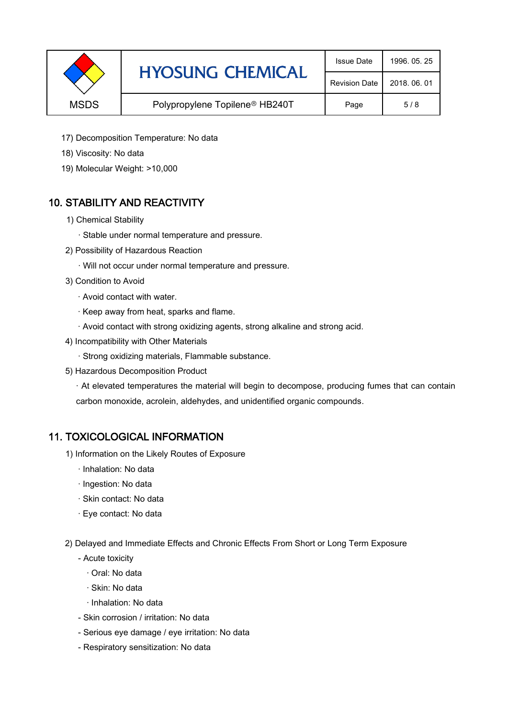|             | <b>HYOSUNG CHEMICAL</b>                    | <b>Issue Date</b>    | 1996, 05, 25 |
|-------------|--------------------------------------------|----------------------|--------------|
|             |                                            | <b>Revision Date</b> | 2018, 06, 01 |
| <b>MSDS</b> | Polypropylene Topilene <sup>®</sup> HB240T | Page                 | 5/8          |

- 17) Decomposition Temperature: No data
- 18) Viscosity: No data
- 19) Molecular Weight: >10,000

## 10. STABILITY AND REACTIVITY

- 1) Chemical Stability
	- · Stable under normal temperature and pressure.
- 2) Possibility of Hazardous Reaction
	- · Will not occur under normal temperature and pressure.
- 3) Condition to Avoid
	- · Avoid contact with water.
	- · Keep away from heat, sparks and flame.
	- · Avoid contact with strong oxidizing agents, strong alkaline and strong acid.
- 4) Incompatibility with Other Materials
	- · Strong oxidizing materials, Flammable substance.
- 5) Hazardous Decomposition Product

· At elevated temperatures the material will begin to decompose, producing fumes that can contain carbon monoxide, acrolein, aldehydes, and unidentified organic compounds.

### 11. TOXICOLOGICAL INFORMATION

- 1) Information on the Likely Routes of Exposure
	- · Inhalation: No data
	- · Ingestion: No data
	- · Skin contact: No data
	- · Eye contact: No data
- 2) Delayed and Immediate Effects and Chronic Effects From Short or Long Term Exposure
	- Acute toxicity
		- · Oral: No data
		- · Skin: No data
		- · Inhalation: No data
	- Skin corrosion / irritation: No data
	- Serious eye damage / eye irritation: No data
	- Respiratory sensitization: No data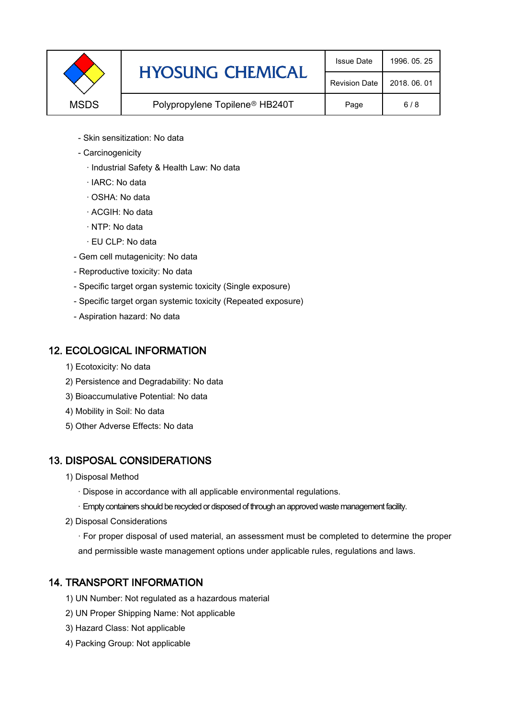

- Skin sensitization: No data
- Carcinogenicity
	- · Industrial Safety & Health Law: No data
	- · IARC: No data
	- · OSHA: No data
	- · ACGIH: No data
	- · NTP: No data
	- · EU CLP: No data
- Gem cell mutagenicity: No data
- Reproductive toxicity: No data
- Specific target organ systemic toxicity (Single exposure)
- Specific target organ systemic toxicity (Repeated exposure)
- Aspiration hazard: No data

### 12. ECOLOGICAL INFORMATION

- 1) Ecotoxicity: No data
- 2) Persistence and Degradability: No data
- 3) Bioaccumulative Potential: No data
- 4) Mobility in Soil: No data
- 5) Other Adverse Effects: No data

## 13. DISPOSAL CONSIDERATIONS

- 1) Disposal Method
	- · Dispose in accordance with all applicable environmental regulations.
	- · Empty containers should be recycled or disposed of through an approved waste management facility.
- 2) Disposal Considerations
	- · For proper disposal of used material, an assessment must be completed to determine the proper and permissible waste management options under applicable rules, regulations and laws.

## 14. TRANSPORT INFORMATION

- 1) UN Number: Not regulated as a hazardous material
- 2) UN Proper Shipping Name: Not applicable
- 3) Hazard Class: Not applicable
- 4) Packing Group: Not applicable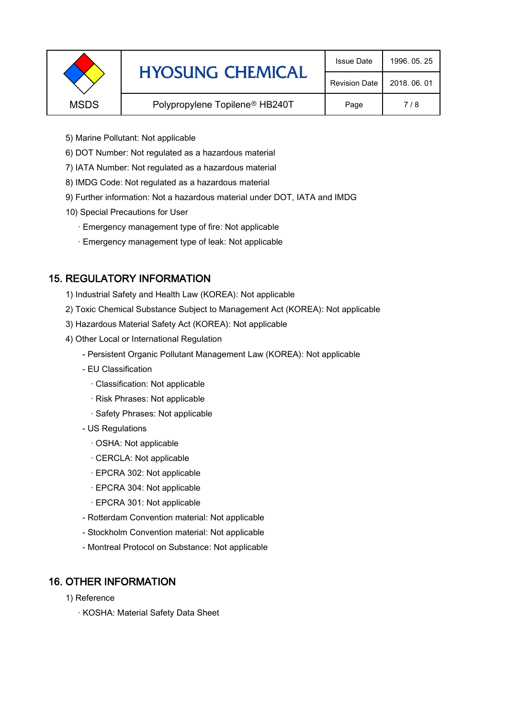|             | <b>HYOSUNG CHEMICAL</b>                    | <b>Issue Date</b>    | 1996, 05, 25 |
|-------------|--------------------------------------------|----------------------|--------------|
|             |                                            | <b>Revision Date</b> | 2018, 06, 01 |
| <b>MSDS</b> | Polypropylene Topilene <sup>®</sup> HB240T |                      | 7/8          |
|             |                                            |                      |              |

- 5) Marine Pollutant: Not applicable
- 6) DOT Number: Not regulated as a hazardous material
- 7) IATA Number: Not regulated as a hazardous material
- 8) IMDG Code: Not regulated as a hazardous material
- 9) Further information: Not a hazardous material under DOT, IATA and IMDG
- 10) Special Precautions for User
	- · Emergency management type of fire: Not applicable
	- · Emergency management type of leak: Not applicable

## 15. REGULATORY INFORMATION

- 1) Industrial Safety and Health Law (KOREA): Not applicable
- 2) Toxic Chemical Substance Subject to Management Act (KOREA): Not applicable
- 3) Hazardous Material Safety Act (KOREA): Not applicable
- 4) Other Local or International Regulation
	- Persistent Organic Pollutant Management Law (KOREA): Not applicable
	- EU Classification
		- · Classification: Not applicable
		- · Risk Phrases: Not applicable
		- · Safety Phrases: Not applicable
	- US Regulations
		- · OSHA: Not applicable
		- · CERCLA: Not applicable
		- · EPCRA 302: Not applicable
		- · EPCRA 304: Not applicable
		- · EPCRA 301: Not applicable
	- Rotterdam Convention material: Not applicable
	- Stockholm Convention material: Not applicable
	- Montreal Protocol on Substance: Not applicable

## 16. OTHER INFORMATION

- 1) Reference
	- · KOSHA: Material Safety Data Sheet